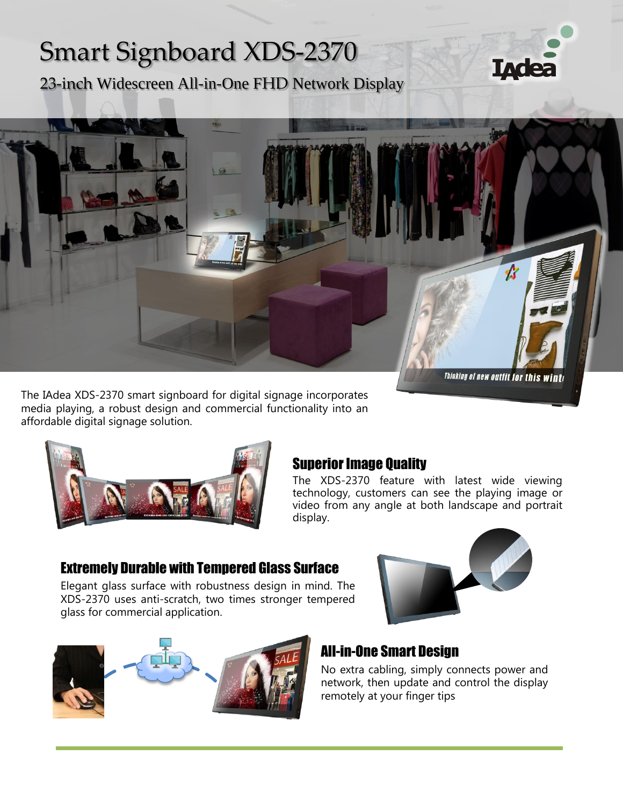# Smart Signboard XDS-2370

23-inch Widescreen All-in-One FHD Network Display



The IAdea XDS-2370 smart signboard for digital signage incorporates media playing, a robust design and commercial functionality into an affordable digital signage solution.



## Superior Image Quality

The XDS-2370 feature with latest wide viewing technology, customers can see the playing image or video from any angle at both landscape and portrait display.

## Extremely Durable with Tempered Glass Surface

Elegant glass surface with robustness design in mind. The XDS-2370 uses anti-scratch, two times stronger tempered glass for commercial application.



**IAde** 



## All-in-One Smart Design

No extra cabling, simply connects power and network, then update and control the display remotely at your finger tips